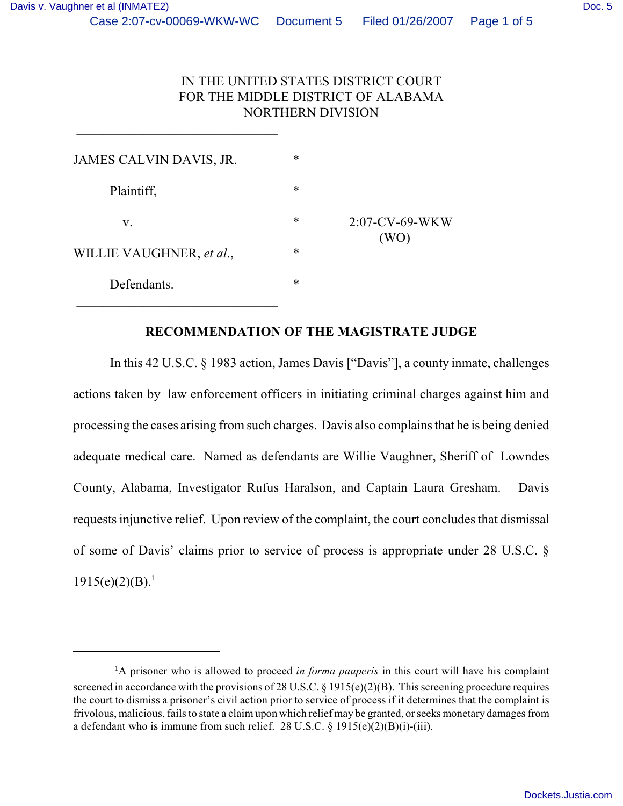| JAMES CALVIN DAVIS, JR.  | $\ast$ | $2:07$ -CV-69-WKW<br>(WO) |
|--------------------------|--------|---------------------------|
| Plaintiff,               | $\ast$ |                           |
| V.                       | $\ast$ |                           |
| WILLIE VAUGHNER, et al., | $\ast$ |                           |
| Defendants.              | *      |                           |

 $\frac{1}{2}$  ,  $\frac{1}{2}$  ,  $\frac{1}{2}$  ,  $\frac{1}{2}$  ,  $\frac{1}{2}$  ,  $\frac{1}{2}$  ,  $\frac{1}{2}$  ,  $\frac{1}{2}$  ,  $\frac{1}{2}$  ,  $\frac{1}{2}$  ,  $\frac{1}{2}$  ,  $\frac{1}{2}$  ,  $\frac{1}{2}$  ,  $\frac{1}{2}$  ,  $\frac{1}{2}$  ,  $\frac{1}{2}$  ,  $\frac{1}{2}$  ,  $\frac{1}{2}$  ,  $\frac{1$ 

### **RECOMMENDATION OF THE MAGISTRATE JUDGE**

In this 42 U.S.C. § 1983 action, James Davis ["Davis"], a county inmate, challenges actions taken by law enforcement officers in initiating criminal charges against him and processing the cases arising from such charges. Davis also complains that he is being denied adequate medical care. Named as defendants are Willie Vaughner, Sheriff of Lowndes County, Alabama, Investigator Rufus Haralson, and Captain Laura Gresham. Davis requests injunctive relief. Upon review of the complaint, the court concludes that dismissal of some of Davis' claims prior to service of process is appropriate under 28 U.S.C. §  $1915(e)(2)(B).<sup>1</sup>$ 

<sup>&</sup>lt;sup>1</sup>A prisoner who is allowed to proceed *in forma pauperis* in this court will have his complaint screened in accordance with the provisions of 28 U.S.C. § 1915(e)(2)(B). This screening procedure requires the court to dismiss a prisoner's civil action prior to service of process if it determines that the complaint is frivolous, malicious, fails to state a claim upon which relief may be granted, or seeks monetary damages from a defendant who is immune from such relief. 28 U.S.C. § 1915(e)(2)(B)(i)-(iii).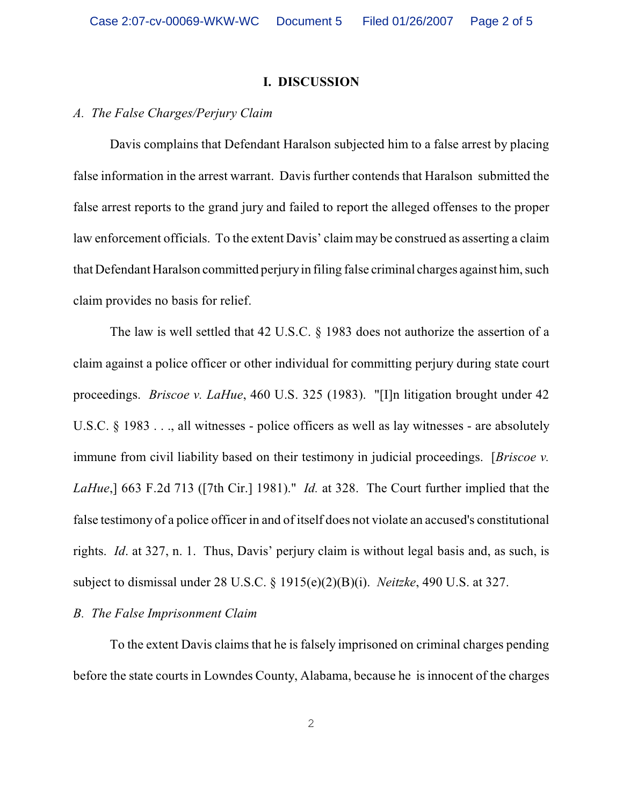#### **I. DISCUSSION**

## *A. The False Charges/Perjury Claim*

Davis complains that Defendant Haralson subjected him to a false arrest by placing false information in the arrest warrant. Davis further contends that Haralson submitted the false arrest reports to the grand jury and failed to report the alleged offenses to the proper law enforcement officials. To the extent Davis' claim may be construed as asserting a claim that Defendant Haralson committed perjury in filing false criminal charges against him, such claim provides no basis for relief.

The law is well settled that 42 U.S.C. § 1983 does not authorize the assertion of a claim against a police officer or other individual for committing perjury during state court proceedings. *Briscoe v. LaHue*, 460 U.S. 325 (1983). "[I]n litigation brought under 42 U.S.C. § 1983 . . ., all witnesses - police officers as well as lay witnesses - are absolutely immune from civil liability based on their testimony in judicial proceedings. [*Briscoe v. LaHue*,] 663 F.2d 713 ([7th Cir.] 1981)." *Id.* at 328. The Court further implied that the false testimony of a police officer in and of itself does not violate an accused's constitutional rights. *Id*. at 327, n. 1. Thus, Davis' perjury claim is without legal basis and, as such, is subject to dismissal under 28 U.S.C. § 1915(e)(2)(B)(i). *Neitzke*, 490 U.S. at 327.

# *B. The False Imprisonment Claim*

To the extent Davis claims that he is falsely imprisoned on criminal charges pending before the state courts in Lowndes County, Alabama, because he is innocent of the charges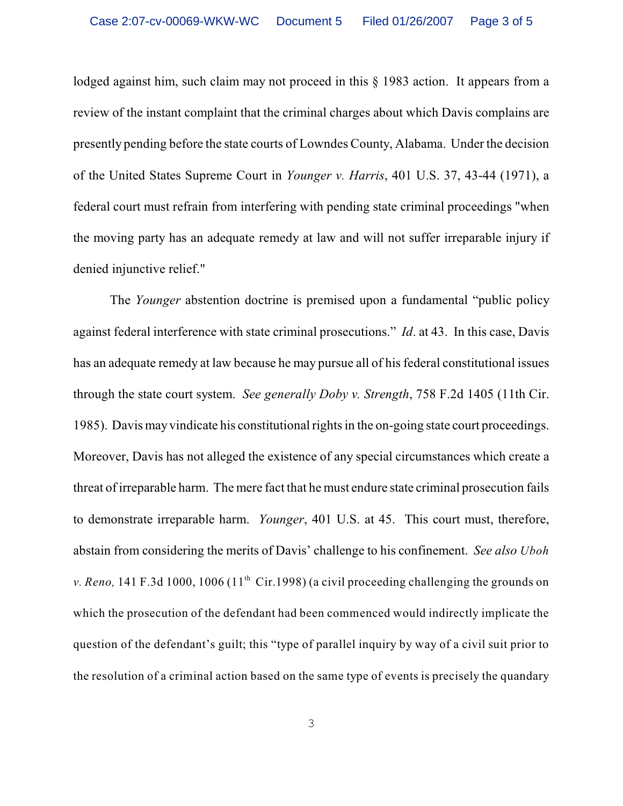lodged against him, such claim may not proceed in this  $\frac{1}{983}$  action. It appears from a review of the instant complaint that the criminal charges about which Davis complains are presently pending before the state courts of Lowndes County, Alabama. Under the decision of the United States Supreme Court in *Younger v. Harris*, 401 U.S. 37, 43-44 (1971), a federal court must refrain from interfering with pending state criminal proceedings "when the moving party has an adequate remedy at law and will not suffer irreparable injury if denied injunctive relief."

The *Younger* abstention doctrine is premised upon a fundamental "public policy against federal interference with state criminal prosecutions." *Id*. at 43. In this case, Davis has an adequate remedy at law because he may pursue all of his federal constitutional issues through the state court system. *See generally Doby v. Strength*, 758 F.2d 1405 (11th Cir. 1985). Davis may vindicate his constitutional rights in the on-going state court proceedings. Moreover, Davis has not alleged the existence of any special circumstances which create a threat of irreparable harm. The mere fact that he must endure state criminal prosecution fails to demonstrate irreparable harm. *Younger*, 401 U.S. at 45. This court must, therefore, abstain from considering the merits of Davis' challenge to his confinement. *See also Uboh v. Reno,* 141 F.3d 1000, 1006 (11<sup>th</sup> Cir.1998) (a civil proceeding challenging the grounds on which the prosecution of the defendant had been commenced would indirectly implicate the question of the defendant's guilt; this "type of parallel inquiry by way of a civil suit prior to the resolution of a criminal action based on the same type of events is precisely the quandary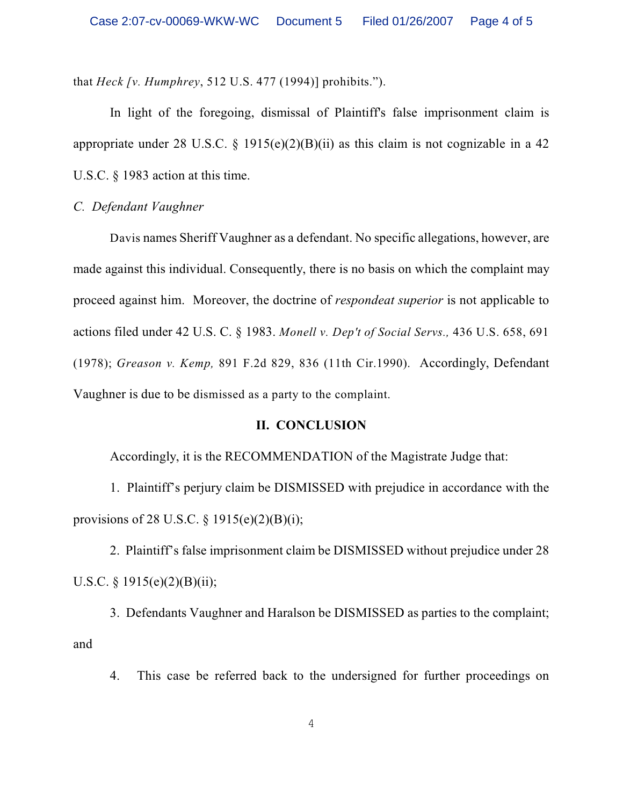that *Heck [v. Humphrey*, 512 U.S. 477 (1994)] prohibits.").

In light of the foregoing, dismissal of Plaintiff's false imprisonment claim is appropriate under 28 U.S.C. § 1915(e)(2)(B)(ii) as this claim is not cognizable in a 42 U.S.C. § 1983 action at this time.

*C. Defendant Vaughner*

Davis names Sheriff Vaughner as a defendant. No specific allegations, however, are made against this individual. Consequently, there is no basis on which the complaint may proceed against him. Moreover, the doctrine of *respondeat superior* is not applicable to actions filed under 42 U.S. C. § 1983. *Monell v. Dep't of Social Servs.,* 436 U.S. 658, 691 (1978); *Greason v. Kemp,* 891 F.2d 829, 836 (11th Cir.1990). Accordingly, Defendant Vaughner is due to be dismissed as a party to the complaint.

## **II. CONCLUSION**

Accordingly, it is the RECOMMENDATION of the Magistrate Judge that:

1. Plaintiff's perjury claim be DISMISSED with prejudice in accordance with the provisions of 28 U.S.C.  $\S$  1915(e)(2)(B)(i);

2. Plaintiff's false imprisonment claim be DISMISSED without prejudice under 28 U.S.C.  $\S 1915(e)(2)(B)(ii);$ 

3. Defendants Vaughner and Haralson be DISMISSED as parties to the complaint; and

4. This case be referred back to the undersigned for further proceedings on